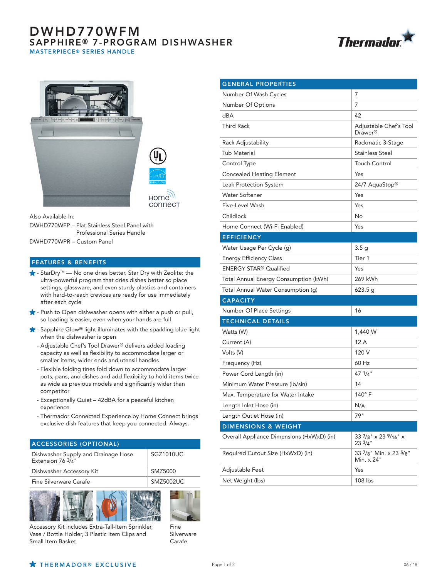## DWHD770WFM SAPPHIRE® 7-PROGRAM DISHWASHER MASTERPIECE® SERIES HANDLE





Also Available In:

DWHD770WFP – Flat Stainless Steel Panel with Professional Series Handle

DWHD770WPR – Custom Panel

## FEATURES & BENEFITS

- StarDry™ No one dries better. Star Dry with Zeolite: the ultra-powerful program that dries dishes better so place settings, glassware, and even sturdy plastics and containers with hard-to-reach crevices are ready for use immediately after each cycle
- $\bigstar$  Push to Open dishwasher opens with either a push or pull, so loading is easier, even when your hands are full
- Sapphire Glow® light illuminates with the sparkling blue light when the dishwasher is open
	- Adjustable Chef's Tool Drawer® delivers added loading capacity as well as flexibility to accommodate larger or smaller items, wider ends and utensil handles
	- Flexible folding tines fold down to accommodate larger pots, pans, and dishes and add flexibility to hold items twice as wide as previous models and significantly wider than competitor
	- Exceptionally Quiet 42dBA for a peaceful kitchen experience
	- Thermador Connected Experience by Home Connect brings exclusive dish features that keep you connected. Always.

| <b>ACCESSORIES (OPTIONAL)</b>                            |                  |  |
|----------------------------------------------------------|------------------|--|
| Dishwasher Supply and Drainage Hose<br>Extension 76 3/4" | SGZ1010UC        |  |
| Dishwasher Accessory Kit                                 | SMZ5000          |  |
| Fine Silverware Carafe                                   | <b>SMZ5002UC</b> |  |
|                                                          |                  |  |





Accessory Kit includes Extra-Tall-Item Sprinkler, Vase / Bottle Holder, 3 Plastic Item Clips and Small Item Basket

Silverware Carafe

| <b>GENERAL PROPERTIES</b>                 |                                               |
|-------------------------------------------|-----------------------------------------------|
| Number Of Wash Cycles                     | 7                                             |
| Number Of Options                         | 7                                             |
| dBA                                       | 42                                            |
| <b>Third Rack</b>                         | Adjustable Chef's Tool<br>Drawer <sup>®</sup> |
| Rack Adjustability                        | Rackmatic 3-Stage                             |
| Tub Material                              | Stainless Steel                               |
| Control Type                              | <b>Touch Control</b>                          |
| <b>Concealed Heating Element</b>          | Yes                                           |
| Leak Protection System                    | 24/7 AquaStop®                                |
| <b>Water Softener</b>                     | Yes                                           |
| Five-Level Wash                           | Yes                                           |
| Childlock                                 | No                                            |
| Home Connect (Wi-Fi Enabled)              | Yes                                           |
| <b>EFFICIENCY</b>                         |                                               |
| Water Usage Per Cycle (g)                 | 3.5 <sub>g</sub>                              |
| <b>Energy Efficiency Class</b>            | Tier 1                                        |
| <b>ENERGY STAR® Qualified</b>             | Yes                                           |
| Total Annual Energy Consumption (kWh)     | 269 kWh                                       |
| Total Annual Water Consumption (g)        | 623.5 g                                       |
| <b>CAPACITY</b>                           |                                               |
| Number Of Place Settings                  | 16                                            |
| <b>TECHNICAL DETAILS</b>                  |                                               |
| Watts (W)                                 | 1,440 W                                       |
| Current (A)                               | 12 A                                          |
| Volts (V)                                 | 120 V                                         |
| Frequency (Hz)                            | 60 Hz                                         |
| Power Cord Length (in)                    | 47 $1/4$ "                                    |
| Minimum Water Pressure (lb/sin)           | 14                                            |
| Max. Temperature for Water Intake         | $140^\circ$ F                                 |
| Length Inlet Hose (in)                    | N/A                                           |
| Length Outlet Hose (in)                   | 79"                                           |
| <b>DIMENSIONS &amp; WEIGHT</b>            |                                               |
| Overall Appliance Dimensions (HxWxD) (in) | 33 7/8" x 23 9/16" x<br>233/4"                |
| Required Cutout Size (HxWxD) (in)         | 33 7/8" Min. x 23 5/8"<br>Min. x 24"          |
| Adjustable Feet                           | Yes                                           |
| Net Weight (lbs)                          | 108 lbs                                       |